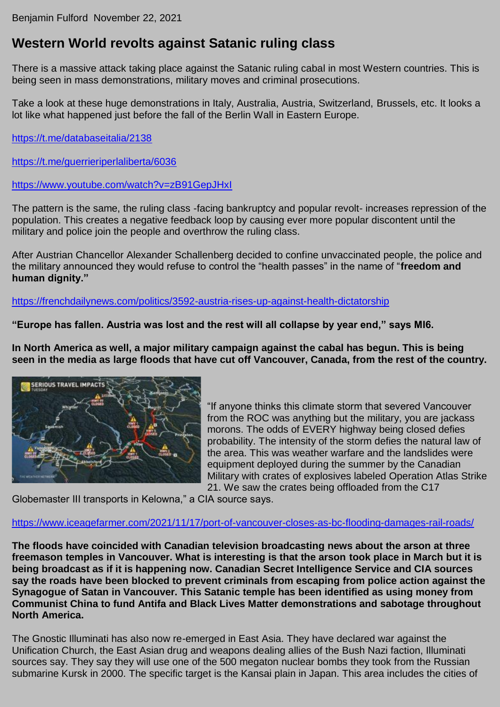## **Western World revolts against Satanic ruling class**

There is a massive attack taking place against the Satanic ruling cabal in most Western countries. This is being seen in mass demonstrations, military moves and criminal prosecutions.

Take a look at these huge demonstrations in Italy, Australia, Austria, Switzerland, Brussels, etc. It looks a lot like what happened just before the fall of the Berlin Wall in Eastern Europe.

<https://t.me/databaseitalia/2138>

<https://t.me/guerrieriperlaliberta/6036>

<https://www.youtube.com/watch?v=zB91GepJHxI>

The pattern is the same, the ruling class -facing bankruptcy and popular revolt- increases repression of the population. This creates a negative feedback loop by causing ever more popular discontent until the military and police join the people and overthrow the ruling class.

After Austrian Chancellor Alexander Schallenberg decided to confine unvaccinated people, the police and the military announced they would refuse to control the "health passes" in the name of "**freedom and human dignity."**

<https://frenchdailynews.com/politics/3592-austria-rises-up-against-health-dictatorship>

**"Europe has fallen. Austria was lost and the rest will all collapse by year end," says MI6.**

**In North America as well, a major military campaign against the cabal has begun. This is being seen in the media as large floods that have cut off Vancouver, Canada, from the rest of the country.**



"If anyone thinks this climate storm that severed Vancouver from the ROC was anything but the military, you are jackass morons. The odds of EVERY highway being closed defies probability. The intensity of the storm defies the natural law of the area. This was weather warfare and the landslides were equipment deployed during the summer by the Canadian Military with crates of explosives labeled Operation Atlas Strike 21. We saw the crates being offloaded from the C17

Globemaster III transports in Kelowna," a CIA source says.

<https://www.iceagefarmer.com/2021/11/17/port-of-vancouver-closes-as-bc-flooding-damages-rail-roads/>

**The floods have coincided with Canadian television broadcasting news about the arson at three freemason temples in Vancouver. What is interesting is that the arson took place in March but it is being broadcast as if it is happening now. Canadian Secret Intelligence Service and CIA sources say the roads have been blocked to prevent criminals from escaping from police action against the Synagogue of Satan in Vancouver. This Satanic temple has been identified as using money from Communist China to fund Antifa and Black Lives Matter demonstrations and sabotage throughout North America.**

The Gnostic Illuminati has also now re-emerged in East Asia. They have declared war against the Unification Church, the East Asian drug and weapons dealing allies of the Bush Nazi faction, Illuminati sources say. They say they will use one of the 500 megaton nuclear bombs they took from the Russian submarine Kursk in 2000. The specific target is the Kansai plain in Japan. This area includes the cities of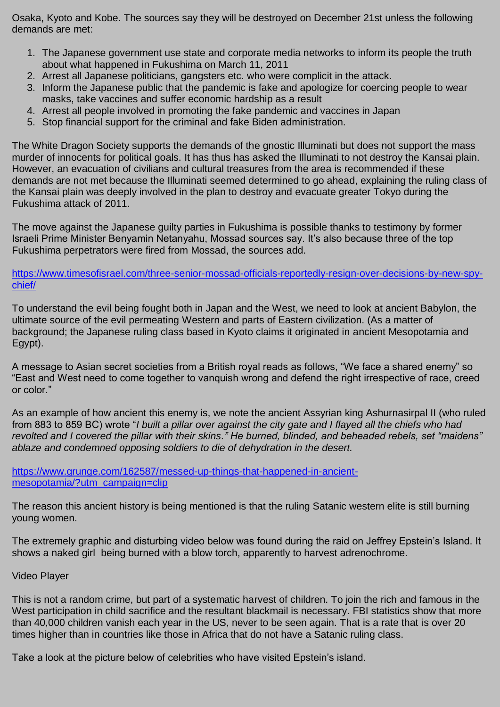Osaka, Kyoto and Kobe. The sources say they will be destroyed on December 21st unless the following demands are met:

- 1. The Japanese government use state and corporate media networks to inform its people the truth about what happened in Fukushima on March 11, 2011
- 2. Arrest all Japanese politicians, gangsters etc. who were complicit in the attack.
- 3. Inform the Japanese public that the pandemic is fake and apologize for coercing people to wear masks, take vaccines and suffer economic hardship as a result
- 4. Arrest all people involved in promoting the fake pandemic and vaccines in Japan
- 5. Stop financial support for the criminal and fake Biden administration.

The White Dragon Society supports the demands of the gnostic Illuminati but does not support the mass murder of innocents for political goals. It has thus has asked the Illuminati to not destroy the Kansai plain. However, an evacuation of civilians and cultural treasures from the area is recommended if these demands are not met because the Illuminati seemed determined to go ahead, explaining the ruling class of the Kansai plain was deeply involved in the plan to destroy and evacuate greater Tokyo during the Fukushima attack of 2011.

The move against the Japanese guilty parties in Fukushima is possible thanks to testimony by former Israeli Prime Minister Benyamin Netanyahu, Mossad sources say. It's also because three of the top Fukushima perpetrators were fired from Mossad, the sources add.

[https://www.timesofisrael.com/three-senior-mossad-officials-reportedly-resign-over-decisions-by-new-spy](https://www.timesofisrael.com/three-senior-mossad-officials-reportedly-resign-over-decisions-by-new-spy-chief/)[chief/](https://www.timesofisrael.com/three-senior-mossad-officials-reportedly-resign-over-decisions-by-new-spy-chief/)

To understand the evil being fought both in Japan and the West, we need to look at ancient Babylon, the ultimate source of the evil permeating Western and parts of Eastern civilization. (As a matter of background; the Japanese ruling class based in Kyoto claims it originated in ancient Mesopotamia and Egypt).

A message to Asian secret societies from a British royal reads as follows, "We face a shared enemy" so "East and West need to come together to vanquish wrong and defend the right irrespective of race, creed or color."

As an example of how ancient this enemy is, we note the ancient Assyrian king Ashurnasirpal II (who ruled from 883 to 859 BC) wrote "*I built a pillar over against the city gate and I flayed all the chiefs who had revolted and I covered the pillar with their skins." He burned, blinded, and beheaded rebels, set "maidens" ablaze and condemned opposing soldiers to die of dehydration in the desert.*

[https://www.grunge.com/162587/messed-up-things-that-happened-in-ancient](https://www.grunge.com/162587/messed-up-things-that-happened-in-ancient-mesopotamia/?utm_campaign=clip)[mesopotamia/?utm\\_campaign=clip](https://www.grunge.com/162587/messed-up-things-that-happened-in-ancient-mesopotamia/?utm_campaign=clip)

The reason this ancient history is being mentioned is that the ruling Satanic western elite is still burning young women.

The extremely graphic and disturbing video below was found during the raid on Jeffrey Epstein's Island. It shows a naked girl being burned with a blow torch, apparently to harvest adrenochrome.

## Video Player

This is not a random crime, but part of a systematic harvest of children. To join the rich and famous in the West participation in child sacrifice and the resultant blackmail is necessary. FBI statistics show that more than 40,000 children vanish each year in the US, never to be seen again. That is a rate that is over 20 times higher than in countries like those in Africa that do not have a Satanic ruling class.

Take a look at the picture below of celebrities who have visited Epstein's island.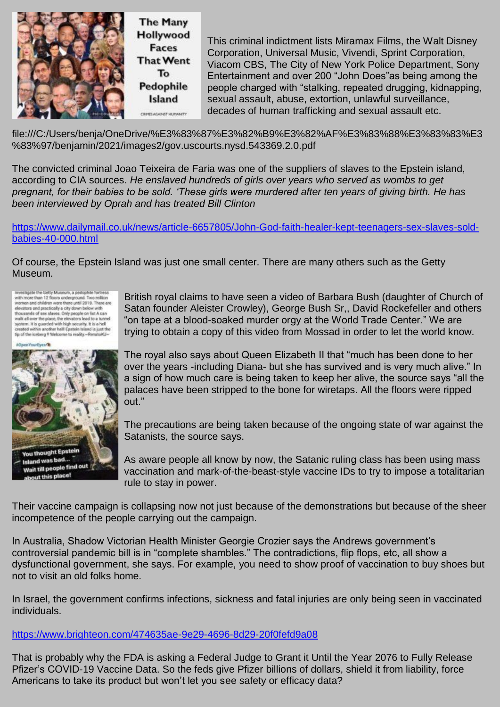

**The Many** Hollywood **Faces That Went** To Pedophile Island CRIPES AGAINST HUPANIETY

This criminal indictment lists Miramax Films, the Walt Disney Corporation, Universal Music, Vivendi, Sprint Corporation, Viacom CBS, The City of New York Police Department, Sony Entertainment and over 200 "John Does"as being among the people charged with "stalking, repeated drugging, kidnapping, sexual assault, abuse, extortion, unlawful surveillance, decades of human trafficking and sexual assault etc.

file:///C:/Users/benja/OneDrive/%E3%83%87%E3%82%B9%E3%82%AF%E3%83%88%E3%83%83%E3 %83%97/benjamin/2021/images2/gov.uscourts.nysd.543369.2.0.pdf

The convicted criminal Joao Teixeira de Faria was one of the suppliers of slaves to the Epstein island, according to CIA sources. *He enslaved hundreds of girls over years who served as wombs to get pregnant, for their babies to be sold. 'These girls were murdered after ten years of giving birth. He has been interviewed by Oprah and has treated Bill Clinton*

[https://www.dailymail.co.uk/news/article-6657805/John-God-faith-healer-kept-teenagers-sex-slaves-sold](https://www.dailymail.co.uk/news/article-6657805/John-God-faith-healer-kept-teenagers-sex-slaves-sold-babies-40-000.html)[babies-40-000.html](https://www.dailymail.co.uk/news/article-6657805/John-God-faith-healer-kept-teenagers-sex-slaves-sold-babies-40-000.html)

Of course, the Epstein Island was just one small center. There are many others such as the Getty Museum.

Investigate the Getty Museum, a pedaphile fortness<br>with more than 12 floors underground. Two military<br>women and children were these until 2018. There are<br>elevators and practically a city down below with<br>thousands of sex sl walk all over the place, the elevators lead to a tunnel system. It is quarded with high security. It is a hell system. It is guarded with high security. It is a hell<br>:reated within another hell! Epstein Island is just the tip of the iceberg Il Welcome to reality -- RenatolOJ



British royal claims to have seen a video of Barbara Bush (daughter of Church of Satan founder Aleister Crowley), George Bush Sr,, David Rockefeller and others "on tape at a blood-soaked murder orgy at the World Trade Center." We are trying to obtain a copy of this video from Mossad in order to let the world know.

The royal also says about Queen Elizabeth II that "much has been done to her over the years -including Diana- but she has survived and is very much alive." In a sign of how much care is being taken to keep her alive, the source says "all the palaces have been stripped to the bone for wiretaps. All the floors were ripped out."

The precautions are being taken because of the ongoing state of war against the Satanists, the source says.

As aware people all know by now, the Satanic ruling class has been using mass vaccination and mark-of-the-beast-style vaccine IDs to try to impose a totalitarian rule to stay in power.

Their vaccine campaign is collapsing now not just because of the demonstrations but because of the sheer incompetence of the people carrying out the campaign.

In Australia, Shadow Victorian Health Minister Georgie Crozier says the Andrews government's controversial pandemic bill is in "complete shambles." The contradictions, flip flops, etc, all show a dysfunctional government, she says. For example, you need to show proof of vaccination to buy shoes but not to visit an old folks home.

In Israel, the government confirms infections, sickness and fatal injuries are only being seen in vaccinated individuals.

<https://www.brighteon.com/474635ae-9e29-4696-8d29-20f0fefd9a08>

That is probably why the FDA is asking a Federal Judge to Grant it Until the Year 2076 to Fully Release Pfizer's COVID-19 Vaccine Data. So the feds give Pfizer billions of dollars, shield it from liability, force Americans to take its product but won't let you see safety or efficacy data?